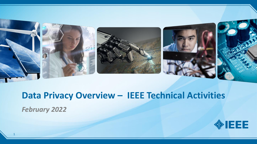

# **Data Privacy Overview – IEEE Technical Activities**

*February 2022*

1

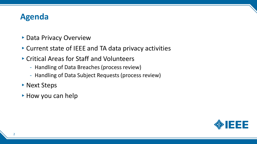#### **Agenda**

- ▶ Data Privacy Overview
- ▸Current state of IEEE and TA data privacy activities
- ▸Critical Areas for Staff and Volunteers
	- Handling of Data Breaches (process review)
	- Handling of Data Subject Requests (process review)
- ▶ Next Steps
- ► How you can help

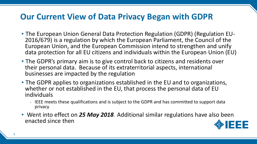#### **Our Current View of Data Privacy Began with GDPR**

- ▸The European Union General Data Protection Regulation (GDPR) (Regulation EU-2016/679) is a regulation by which the European Parliament, the Council of the European Union, and the European Commission intend to strengthen and unify data protection for all EU citizens and individuals within the European Union (EU)
- ▸The GDPR's primary aim is to give control back to citizens and residents over their personal data. Because of its extraterritorial aspects, international businesses are impacted by the regulation
- ▸The GDPR applies to organizations established in the EU and to organizations, whether or not established in the EU, that process the personal data of EU individuals
	- IEEE meets these qualifications and is subject to the GDPR and has committed to support data privacy
- ▸ Went into effect on *25 May 2018*. Additional similar regulations have also been enacted since then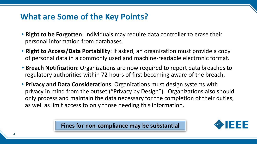#### **What are Some of the Key Points?**

- ▸**Right to be Forgotten**: Individuals may require data controller to erase their personal information from databases.
- ▸**Right to Access/Data Portability**: If asked, an organization must provide a copy of personal data in a commonly used and machine-readable electronic format.
- ▸**Breach Notification**: Organizations are now required to report data breaches to regulatory authorities within 72 hours of first becoming aware of the breach.
- ▸**Privacy and Data Considerations**: Organizations must design systems with privacy in mind from the outset ("Privacy by Design"). Organizations also should only process and maintain the data necessary for the completion of their duties, as well as limit access to only those needing this information.

**Fines for non-compliance may be substantial**

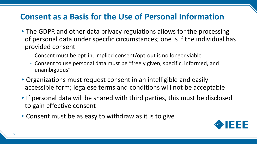#### **Consent as a Basis for the Use of Personal Information**

- ▸The GDPR and other data privacy regulations allows for the processing of personal data under specific circumstances; one is if the individual has provided consent
	- Consent must be opt-in, implied consent/opt-out is no longer viable
	- Consent to use personal data must be "freely given, specific, informed, and unambiguous"
- ▸Organizations must request consent in an intelligible and easily accessible form; legalese terms and conditions will not be acceptable
- ▸If personal data will be shared with third parties, this must be disclosed to gain effective consent
- ▸Consent must be as easy to withdraw as it is to give

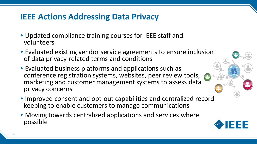## **IEEE Actions Addressing Data Privacy**

- ▸Updated compliance training courses for IEEE staff and volunteers
- ▸Evaluated existing vendor service agreements to ensure inclusion of data privacy-related terms and conditions
- ▸Evaluated business platforms and applications such as conference registration systems, websites, peer review tools, marketing and customer management systems to assess data privacy concerns
- ▸Improved consent and opt-out capabilities and centralized record keeping to enable customers to manage communications
- ▸Moving towards centralized applications and services where possible

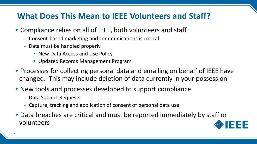### **What Does This Mean to IEEE Volunteers and Staff?**

- ▸Compliance relies on all of IEEE, both volunteers and staff
	- Consent-based marketing and communications is critical
	- Data must be handled properly
		- New Data Access and Use Policy
		- Updated Records Management Program
- ▸Processes for collecting personal data and emailing on behalf of IEEE have changed. This may include deletion of data currently in your possession
- ▸New tools and processes developed to support compliance
	- Data Subject Requests
	- Capture, tracking and application of consent of personal data use
- ▸Data breaches are critical and must be reported immediately by staff or volunteers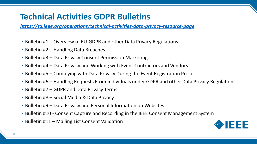## **Technical Activities GDPR Bulletins**

*<https://ta.ieee.org/operations/technical-activities-data-privacy-resource-page>*

- $\triangleright$  Bulletin #1 Overview of EU-GDPR and other Data Privacy Regulations
- $\triangleright$  Bulletin #2 Handling Data Breaches
- $\triangleright$  Bulletin #3 Data Privacy Consent Permission Marketing
- $\triangleright$  Bulletin #4 Data Privacy and Working with Event Contractors and Vendors
- $\triangleright$  Bulletin #5 Complying with Data Privacy During the Event Registration Process
- $\triangleright$  Bulletin #6 Handling Requests From Individuals under GDPR and other Data Privacy Regulations
- $\triangleright$  Bulletin #7 GDPR and Data Privacy Terms
- $\triangleright$  Bulletin #8 Social Media & Data Privacy
- $\triangleright$  Bulletin #9 Data Privacy and Personal Information on Websites
- ▶ Bulletin #10 Consent Capture and Recording in the IEEE Consent Management System
- $\triangleright$  Bulletin #11 Mailing List Consent Validation

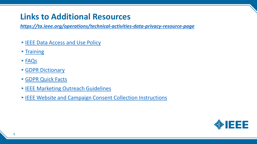## **Links to Additional Resources**

*<https://ta.ieee.org/operations/technical-activities-data-privacy-resource-page>*

- ▸[IEEE Data Access and Use Policy](https://www.ieee.org/ieee-data-access-and-use-policy.html)
- $\triangleright$  [Training](http://sites.ieee.org/gdpr/training)
- ▸[FAQs](http://sites.ieee.org/gdpr/faqs/)
- ▸[GDPR Dictionary](https://ta.ieee.org/operations/gdpr-dictionary)
- ▸[GDPR Quick Facts](https://ta.ieee.org/images/files/operations/gdpr/GDPR_quick_facts.pdf)
- ▸[IEEE Marketing Outreach Guidelines](chrome-extension://efaidnbmnnnibpcajpcglclefindmkaj/viewer.html?pdfurl=https%3A%2F%2Fwww.ieee.org%2F%2Fcontent%2Fdam%2Fieee-org%2Fieee%2Fweb%2Forg%2Foutreach-guidelines.pdf&clen=92663&chunk=true)
- ▸[IEEE Website and Campaign Consent Collection Instructions](https://ta.ieee.org/images/files/operations/gdpr/ieee_website_campaign_consent_collection_instructions_final_oct_2019.pdf)

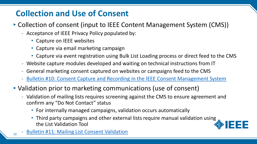# **Collection and Use of Consent**

- ▸Collection of consent (input to IEEE Content Management System (CMS))
	- Acceptance of IEEE Privacy Policy populated by:
		- Capture on IEEE websites
		- Capture via email marketing campaign
		- Capture via event registration using Bulk List Loading process or direct feed to the CMS
	- Website capture modules developed and waiting on technical instructions from IT
	- General marketing consent captured on websites or campaigns feed to the CMS
	- [Bulletin #10: Consent Capture and Recording in the IEEE Consent Management System](https://ta.ieee.org/operations/technical-activities-data-privacy-resource-page/bulletin-10-consent-capture-and-recording-in-the-ieee-consent-management-system)
- ▸Validation prior to marketing communications (use of consent)
	- Validation of mailing lists requires screening against the CMS to ensure agreement and confirm any "Do Not Contact" status
		- For internally managed campaigns, validation occurs automatically
		- Third party campaigns and other external lists require manual validation using the List Validation Tool



<sub>10</sub> - [Bulletin #11: Mailing List Consent Validation](https://ta.ieee.org/operations/technical-activities-data-privacy-resource-page/bulletin-11-mailing-list-consent-validation)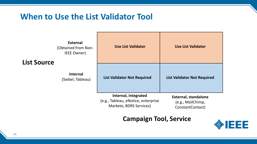#### **When to Use the List Validator Tool**

**External** (Obtained from No IEEE Owner)

#### **List Source**

**Internal** (Siebel, Tableau)

| on- | <b>Use List Validator</b>                                                              | <b>Use List Validator</b>                                            |
|-----|----------------------------------------------------------------------------------------|----------------------------------------------------------------------|
| u)  | <b>List Validator Not Required</b>                                                     | <b>List Validator Not Required</b>                                   |
|     | Internal, integrated<br>(e.g., Tableau, eNotice, enterprise<br>Marketo, BDRS Services) | <b>External, standalone</b><br>(e.g., MailChimp,<br>ConstantContact) |

#### **Campaign Tool, Service**

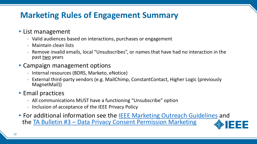# **Marketing Rules of Engagement Summary**

#### ▸List management

- Valid audiences based on interactions, purchases or engagement
- Maintain clean lists
- Remove invalid emails, local "Unsubscribes", or names that have had no interaction in the past two years
- ▸Campaign management options
	- Internal resources (BDRS, Marketo, eNotice)
	- External third-party vendors (e.g. MailChimp, ConstantContact, Higher Logic (previously MagnetMail))

#### ▸Email practices

- All communications MUST have a functioning "Unsubscribe" option
- Inclusion of acceptance of the IEEE Privacy Policy
- ▸For additional information see the [IEEE Marketing Outreach Guidelines](http://ieee.org/content/dam/ieee-org/ieee/web/org/outreach-guidelines.pdf) and the TA Bulletin #3 – [Data Privacy Consent Permission Marketing](https://ta.ieee.org/operations/technical-activities-data-privacy-resource-page/bulletin-3-gdpr-consent-permission-marketing)



12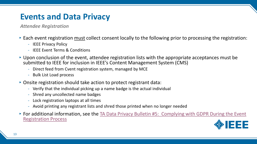#### **Events and Data Privacy**

*Attendee Registration*

- ▸Each event registration must collect consent locally to the following prior to processing the registration:
	- IEEE Privacy Policy
	- IEEE Event Terms & Conditions
- ▸Upon conclusion of the event, attendee registration lists with the appropriate acceptances must be submitted to IEEE for inclusion in IEEE's Content Management System (CMS)
	- Direct feed from Cvent registration system, managed by MCE
	- Bulk List Load process
- ▸Onsite registration should take action to protect registrant data:
	- Verify that the individual picking up a name badge is the actual individual
	- Shred any uncollected name badges
	- Lock registration laptops at all times
	- Avoid printing any registrant lists and shred those printed when no longer needed
- ▸[For additional information, see the TA Data Privacy Bulletin #5: Complying with GDPR During the Event](https://ta.ieee.org/operations/technical-activities-data-privacy-resource-page/bulletin-5-data-privacy-and-event-registration)  Registration Process

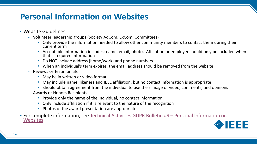# **Personal Information on Websites**

#### ▸Website Guidelines

- Volunteer leadership groups (Society AdCom, ExCom, Committees)
	- Only provide the information needed to allow other community members to contact them during their current term
	- Acceptable information includes; name, email, photo. Affiliation or employer should only be included when that is required information
	- Do NOT include address (home/work) and phone numbers
	- When an individual's term expires, the email address should be removed from the website
- Reviews or Testimonials
	- May be in written or video format
	- May include name, likeness and IEEE affiliation, but no contact information is appropriate
	- Should obtain agreement from the individual to use their image or video, comments, and opinions
- Awards or Honors Recipients
	- Provide only the name of the individual, no contact information
	- Only include affiliation if it is relevant to the nature of the recognition
	- Photos of the award presentation are appropriate
- ▸[For complete information, see Technical Activities GDPR Bulletin #9](https://ta.ieee.org/operations/technical-activities-data-privacy-resource-page/bulletin-9-data-privacy-and-personal-information-on-websites)  Personal Information on **Websites**

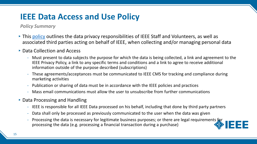### **IEEE Data Access and Use Policy**

#### *Policy Summary*

- ▸This [policy](https://www.ieee.org/ieee-data-access-and-use-policy.html) outlines the data privacy responsibilities of IEEE Staff and Volunteers, as well as associated third parties acting on behalf of IEEE, when collecting and/or managing personal data
- ▸Data Collection and Access
	- Must present to data subjects the purpose for which the data is being collected, a link and agreement to the IEEE Privacy Policy, a link to any specific terms and conditions and a link to agree to receive additional information outside of the purpose described (subscriptions)
	- These agreements/acceptances must be communicated to IEEE CMS for tracking and compliance during marketing activities
	- Publication or sharing of data must be in accordance with the IEEE policies and practices
	- Mass email communications must allow the user to unsubscribe from further communications
- $\triangleright$  Data Processing and Handling
	- IEEE is responsible for all IEEE Data processed on his behalf, including that done by third party partners
	- Data shall only be processed as previously communicated to the user when the data was given
	- Processing the data is necessary for legitimate business purposes; or there are legal requirements for processing the data (e.g. processing a financial transaction during a purchase)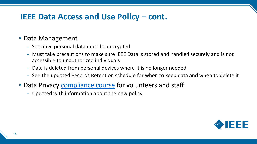#### **IEEE Data Access and Use Policy – cont.**

#### ▸Data Management

- Sensitive personal data must be encrypted
- Must take precautions to make sure IEEE Data is stored and handled securely and is not accessible to unauthorized individuals
- Data is deleted from personal devices where it is no longer needed
- See the updated Records Retention schedule for when to keep data and when to delete it
- ▶ Data Privacy [compliance course](http://sites.ieee.org/gdpr/training) for volunteers and staff
	- Updated with information about the new policy

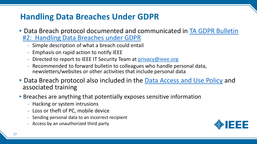## **Handling Data Breaches Under GDPR**

- ▸[Data Breach protocol documented and communicated in TA GDPR Bulletin](https://ta.ieee.org/operations/technical-activities-gdpr-resource-page/bulletin-2-Handling-Data-Breaches-Under-GDPR) #2: Handling Data Breaches under GDPR
	- Simple description of what a breach could entail
	- Emphasis on rapid action to notify IEEE
	- Directed to report to IEEE IT Security Team at [privacy@ieee.org](mailto:privacy@ieee.org)
	- Recommended to forward bulletin to colleagues who handle personal data, newsletters/websites or other activities that include personal data
- ▸Data Breach protocol also included in the [Data Access and Use Policy](https://www.ieee.org/ieee-data-access-and-use-policy.html) and associated training
- ▶ Breaches are anything that potentially exposes sensitive information
	- Hacking or system intrusions
	- Loss or theft of PC, mobile device
	- Sending personal data to an incorrect recipient
	- Access by an unauthorized third party

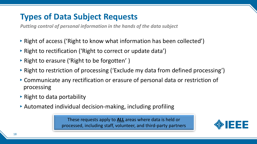## **Types of Data Subject Requests**

*Putting control of personal information in the hands of the data subject*

- ▸Right of access ('Right to know what information has been collected')
- ▸Right to rectification ('Right to correct or update data')
- ▸Right to erasure ('Right to be forgotten' )
- ▸Right to restriction of processing ('Exclude my data from defined processing')
- ▸Communicate any rectification or erasure of personal data or restriction of processing
- $\triangleright$  Right to data portability
- ▸Automated individual decision-making, including profiling

These requests apply to **ALL** areas where data is held or processed, including staff, volunteer, and third-party partners

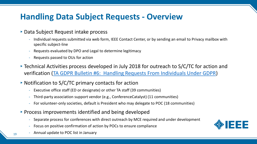## **Handling Data Subject Requests - Overview**

#### ▸Data Subject Request intake process

- Individual requests submitted via web form, IEEE Contact Center, or by sending an email to Privacy mailbox with specific subject-line
- Requests evaluated by DPO and Legal to determine legitimacy
- Requests passed to OUs for action
- ▸Technical Activities process developed in July 2018 for outreach to S/C/TC for action and verification [\(TA GDPR Bulletin #6: Handling Requests From Individuals Under GDPR](https://ta.ieee.org/operations/technical-activities-data-privacy-resource-page/bulletin-6-handling-requests-from-individuals-under-gdpr))
- $\triangleright$  Notification to S/C/TC primary contacts for action
	- Executive office staff (ED or designate) or other TA staff (39 communities)
	- Third-party association support vendor (e.g., ConferenceCatalyst) (11 communities)
	- For volunteer-only societies, default is President who may delegate to POC (18 communities)
- ▸Process improvements identified and being developed
	- Separate process for conferences with direct outreach by MCE required and under development
	- Focus on positive confirmation of action by POCs to ensure compliance
- $_{19}$  Annual update to POC list in January

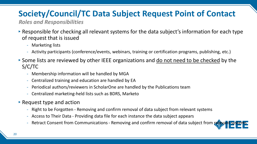# **Society/Council/TC Data Subject Request Point of Contact**

*Roles and Responsibilities*

- ▸Responsible for checking all relevant systems for the data subject's information for each type of request that is issued
	- Marketing lists
	- Activity participants (conference/events, webinars, training or certification programs, publishing, etc.)
- ▸Some lists are reviewed by other IEEE organizations and do not need to be checked by the S/C/TC
	- Membership information will be handled by MGA
	- Centralized training and education are handled by EA
	- Periodical authors/reviewers in ScholarOne are handled by the Publications team
	- Centralized marketing-held lists such as BDRS, Marketo
- $\triangleright$  Request type and action
	- Right to be Forgotten Removing and confirm removal of data subject from relevant systems
	- Access to Their Data Providing data file for each instance the data subject appears
	- Retract Consent from Communications Removing and confirm removal of data subject from re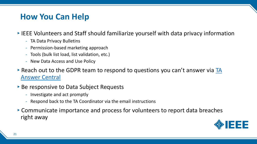#### **How You Can Help**

▸IEEE Volunteers and Staff should familiarize yourself with data privacy information

- TA Data Privacy Bulletins
- Permission-based marketing approach
- Tools (bulk list load, list validation, etc.)
- New Data Access and Use Policy
- $\triangleright$  [Reach out to the GDPR team to respond to questions you can't answer via](https://ta.ieee.org/home/ta-answer-central) TA Answer Central
- ▶ Be responsive to Data Subject Requests
	- Investigate and act promptly
	- Respond back to the TA Coordinator via the email instructions
- ▸Communicate importance and process for volunteers to report data breaches right away